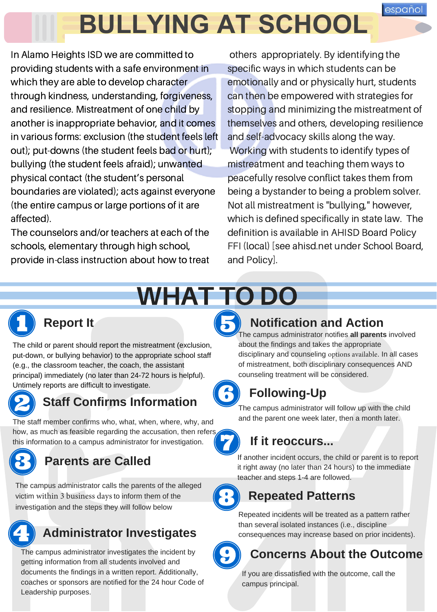# **BULLYING AT SCHOOL**

In Alamo Heights ISD we are committed to providing students with a safe environment in which they are able to develop character through kindness, understanding, forgiveness, and resilience. Mistreatment of one child by another is inappropriate behavior, and it comes in various forms: exclusion (the student feels left out); put-downs (the student feels bad or hurt); bullying (the student feels afraid); unwanted physical contact (the student's personal boundaries are violated); acts against everyone (the entire campus or large portions of it are affected).

The counselors and/or teachers at each of the schools, elementary through high school, provide in-class instruction about how to treat

others appropriately. By identifying the specific ways in which students can be emotionally and or physically hurt, students can then be empowered with strategies for stopping and minimizing the mistreatment of themselves and others, developing resilience and self-advocacy skills along the way. Working with students to identify types of mistreatment and teaching them ways to peacefully resolve conflict takes them from being <sup>a</sup> bystander to being <sup>a</sup> problem solver. Not all mistreatment is "bullying," however, which is defined specifically in state law. The definition is available in AHISD Board Policy FFI (local) [see ahisd.net under School Board, and Policy].

# WHAT TO DO



#### **Report It**

The child or parent should report the mistreatment (exclusion, put-down, or bullying behavior) to the appropriate school staff (e.g., the classroom teacher, the coach, the assistant principal) immediately (no later than 24-72 hours is helpful). Untimely reports are difficult to investigate.



### **Staff Confirms Information**

The staff member confirms who, what, when, where, why, and how, as much as feasible regarding the accusation, then refers this information to a campus administrator for investigation.

### **Parents are Called**

The campus administrator calls the parents of the alleged victim within 3 business days to inform them of the investigation and the steps they will follow below

## **Administrator Investigates**

The campus administrator investigates the incident by getting information from all students involved and documents the findings in a written report. Additionally, coaches or sponsors are notified for the 24 hour Code of Leadership purposes.

#### **Notification and Action**

The campus administrator notifies **all parents** involved about the findings and takes the appropriate disciplinary and counseling options available. In all cases of mistreatment, both disciplinary consequences AND counseling treatment will be considered.

### **Following-Up**

The campus administrator will follow up with the child and the parent one week later, then a month later.

### **If it reoccurs...**

If another incident occurs, the child or parent is to report it right away (no later than 24 hours) to the immediate teacher and steps 1-4 are followed.

#### **Repeated Patterns**

Repeated incidents will be treated as a pattern rather than several isolated instances (i.e., discipline consequences may increase based on prior incidents).



### **Concerns About the Outcome**

If you are dissatisfied with the outcome, call the campus principal.